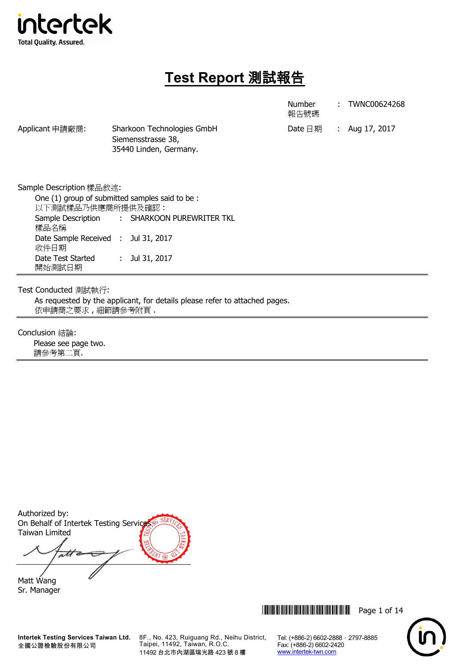

# **Test Report** 測試報告

Number

: TWNC00624268

|                                                                                               |  |                                                | 報告號碼             |                |
|-----------------------------------------------------------------------------------------------|--|------------------------------------------------|------------------|----------------|
| Applicant 申請廠商:<br>Sharkoon Technologies GmbH<br>Siemensstrasse 38,<br>35440 Linden, Germany. |  |                                                | Date $\boxdot$ 期 | : Aug 17, 2017 |
| Sample Description 樣品敘述:                                                                      |  |                                                |                  |                |
| 以下測試樣品乃供應商所提供及確認:                                                                             |  | One (1) group of submitted samples said to be: |                  |                |
| 樣品名稱                                                                                          |  | Sample Description : SHARKOON PUREWRITER TKL   |                  |                |
| Date Sample Received : Jul 31, 2017<br>收件日期                                                   |  |                                                |                  |                |
| Date Test Started                                                                             |  | Jul 31, 2017                                   |                  |                |

Test Conducted 測試執行:

開始測試日期

As requested by the applicant, for details please refer to attached pages. 依申請商之要求 , 細節請參考附頁 .

Conclusion 結論:

Please see page two. 請參考第二頁.

Authorized by: On Behalf of Intertek Testing Service Taiwan Limited

att  $\overline{\phantom{a}}$ 

Matt Wang Sr. Manager



Tel: (+886-2) 6602-2888 · 2797-8885

Fax: (+886-2) 6602-2420 www.intertek-twn.com

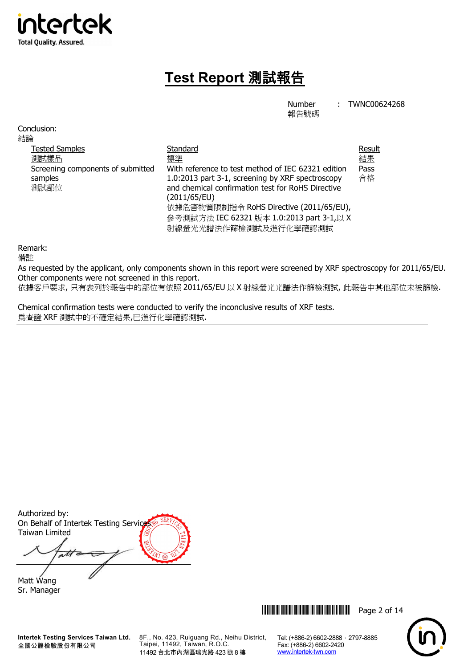

# **Test Report** 測試報告

Number 報告號碼 : TWNC00624268

Conclusion: 結論 Tested Samples 測試樣品 **Standard** 標準 Result 結果 Screening components of submitted samples 測試部位 With reference to test method of IEC 62321 edition 1.0:2013 part 3-1, screening by XRF spectroscopy and chemical confirmation test for RoHS Directive (2011/65/EU) 依據危害物質限制指令 RoHS Directive (2011/65/EU), 參考測試方法 IEC 62321 版本 1.0:2013 part 3-1,以 X 射線螢光光譜法作篩檢測試及進行化學確認測試 Pass 合格

Remark:

備註

As requested by the applicant, only components shown in this report were screened by XRF spectroscopy for 2011/65/EU. Other components were not screened in this report.

依據客戶要求, 只有表列於報告中的部位有依照 2011/65/EU 以 X 射線螢光光譜法作篩檢測試, 此報告中其他部位未被篩檢.

Chemical confirmation tests were conducted to verify the inconclusive results of XRF tests. 為查證 XRF 測試中的不確定結果,已進行化學確認測試.

Authorized by: On Behalf of Intertek Testing Service Taiwan Limited

att Matt Wang

Sr. Manager

**Intertek Testing Services Taiwan Ltd.** 全國公證檢驗股份有限公司

8F., No. 423, Ruiguang Rd., Neihu District, Taipei, 11492, Taiwan, R.O.C. 11492 台北市內湖區瑞光路 423 號 8 樓



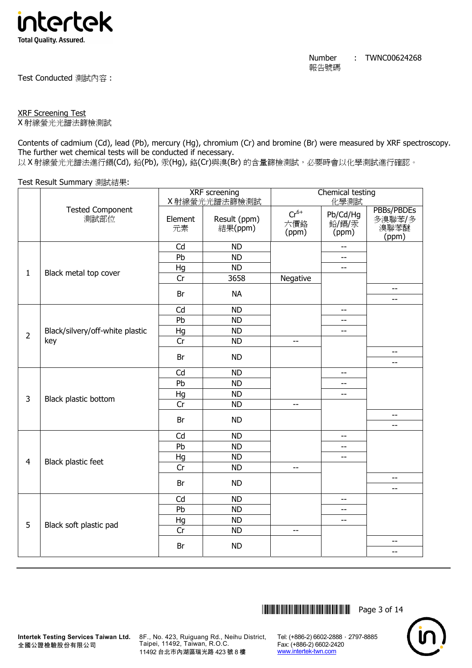

Test Conducted 測試內容 :

## XRF Screening Test

X 射線螢光光譜法篩檢測試

Contents of cadmium (Cd), lead (Pb), mercury (Hg), chromium (Cr) and bromine (Br) were measured by XRF spectroscopy. The further wet chemical tests will be conducted if necessary.

以 X 射線螢光光譜法進行鎘(Cd), 鉛(Pb), 汞(Hq), 鉻(Cr)與溴(Br) 的含量篩檢測試, 必要時會以化學測試進行確認。

Test Result Summary 測試結果:

|                |                                 | XRF screening<br>X射線螢光光譜法篩檢測試 |                         | Chemical testing<br>化學測試  |                            |                                       |
|----------------|---------------------------------|-------------------------------|-------------------------|---------------------------|----------------------------|---------------------------------------|
|                | <b>Tested Component</b><br>測試部位 | Element<br>元素                 | Result (ppm)<br>結果(ppm) | $Cr^{6+}$<br>六價鉻<br>(ppm) | Pb/Cd/Hg<br>鉛/鎘/汞<br>(ppm) | PBBs/PBDEs<br>多溴聯苯/多<br>溴聯苯醚<br>(ppm) |
|                |                                 | Cd                            | <b>ND</b>               |                           | $-$                        |                                       |
|                |                                 | Pb                            | <b>ND</b>               |                           | $-$                        |                                       |
| $\mathbf{1}$   |                                 | Hg                            | <b>ND</b>               |                           | $-$                        |                                       |
|                | Black metal top cover           | Cr                            | 3658                    | Negative                  |                            |                                       |
|                |                                 | Br                            | <b>NA</b>               |                           |                            | $-$<br>$-$                            |
|                |                                 | Cd                            | <b>ND</b>               |                           | $\overline{\phantom{m}}$   |                                       |
|                |                                 | Pb                            | <b>ND</b>               |                           | $- -$                      |                                       |
|                | Black/silvery/off-white plastic | Hg                            | <b>ND</b>               |                           | $\overline{\phantom{a}}$   |                                       |
| $\overline{2}$ | key                             | Cr                            | <b>ND</b>               | $-$                       |                            |                                       |
|                |                                 | Br                            | <b>ND</b>               |                           |                            | $-$<br>--                             |
|                |                                 | Cd                            | <b>ND</b>               |                           | $\overline{a}$             |                                       |
|                |                                 | Pb                            | <b>ND</b>               |                           | $-$                        |                                       |
|                |                                 | Hg                            | <b>ND</b>               |                           | --                         |                                       |
| 3              | Black plastic bottom            | Cr                            | <b>ND</b>               | $-$                       |                            |                                       |
|                |                                 | Br                            | <b>ND</b>               |                           |                            | $-$<br>--                             |
|                |                                 | Cd                            | <b>ND</b>               |                           | --                         |                                       |
|                |                                 | Pb                            | <b>ND</b>               |                           | --                         |                                       |
|                |                                 | Hg                            | <b>ND</b>               |                           | $-$                        |                                       |
| $\overline{4}$ | Black plastic feet              | Cr                            | <b>ND</b>               | $\overline{a}$            |                            |                                       |
|                |                                 | Br                            | <b>ND</b>               |                           |                            | $-$<br>$-$                            |
|                |                                 | Cd                            | <b>ND</b>               |                           | $\overline{\phantom{a}}$   |                                       |
|                |                                 | Pb                            | <b>ND</b>               |                           | $- -$                      |                                       |
|                |                                 | Hg                            | <b>ND</b>               |                           | $- -$                      |                                       |
| 5              | Black soft plastic pad          | Cr                            | <b>ND</b>               | $-$                       |                            |                                       |
|                |                                 | Br                            | <b>ND</b>               |                           |                            | --<br>--                              |
|                |                                 |                               |                         |                           |                            |                                       |



8F., No. 423, Ruiguang Rd., Neihu District, Taipei, 11492, Taiwan, R.O.C. 11492 台北市內湖區瑞光路 423 號 8 樓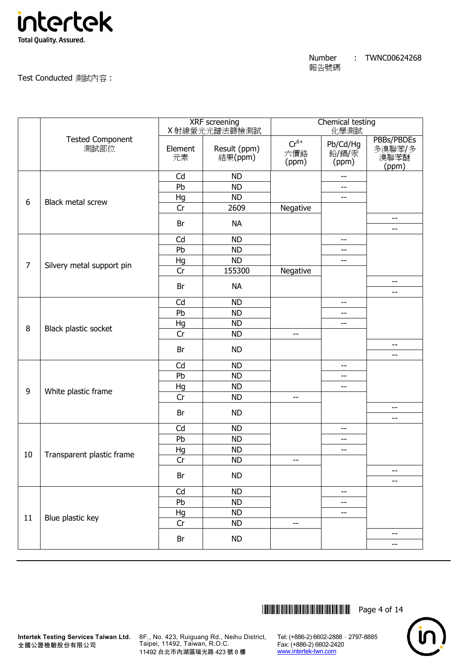

Number 報告號碼

: TWNC00624268

Test Conducted 測試內容 :

| <b>Tested Component</b><br>$Cr^{6+}$<br>Pb/Cd/Hg<br>測試部位<br>Result (ppm)<br>Element<br>六價鉻<br>鉛/鎘/汞<br>結果(ppm)<br>溴聯苯醚<br>元素<br>(ppm)<br>(ppm)<br>(ppm)<br>Cd<br><b>ND</b><br>Pb<br><b>ND</b><br>$-$<br>Hg<br><b>ND</b><br>$-$<br>6<br><b>Black metal screw</b><br>2609<br>Negative<br>Cr<br>--<br>Br<br><b>NA</b><br>--<br>Cd<br><b>ND</b><br>$\overline{\phantom{a}}$<br>Pb<br><b>ND</b><br>$-$<br>Hg<br><b>ND</b><br>$\overline{\phantom{a}}$<br>$\overline{7}$<br>Silvery metal support pin<br>Cr<br>155300<br>Negative<br>--<br>Br<br><b>NA</b><br>--<br>Cd<br><b>ND</b><br>$ -$<br>Pb<br><b>ND</b><br>$-$<br>Hg<br><b>ND</b><br>$-$<br>8<br>Black plastic socket<br>Cr<br><b>ND</b><br>--<br>--<br>Br<br><b>ND</b><br>--<br>Cd<br><b>ND</b><br>$\overline{\phantom{m}}$<br>Pb<br><b>ND</b><br>$-$ |  | <b>XRF</b> screening<br>X 射線螢光光譜法篩檢測試 |  | Chemical testing<br>化學測試 |  |                      |
|---------------------------------------------------------------------------------------------------------------------------------------------------------------------------------------------------------------------------------------------------------------------------------------------------------------------------------------------------------------------------------------------------------------------------------------------------------------------------------------------------------------------------------------------------------------------------------------------------------------------------------------------------------------------------------------------------------------------------------------------------------------------------------------------------------|--|---------------------------------------|--|--------------------------|--|----------------------|
|                                                                                                                                                                                                                                                                                                                                                                                                                                                                                                                                                                                                                                                                                                                                                                                                         |  |                                       |  |                          |  | PBBs/PBDEs<br>多溴聯苯/多 |
|                                                                                                                                                                                                                                                                                                                                                                                                                                                                                                                                                                                                                                                                                                                                                                                                         |  |                                       |  |                          |  |                      |
|                                                                                                                                                                                                                                                                                                                                                                                                                                                                                                                                                                                                                                                                                                                                                                                                         |  |                                       |  |                          |  |                      |
|                                                                                                                                                                                                                                                                                                                                                                                                                                                                                                                                                                                                                                                                                                                                                                                                         |  |                                       |  |                          |  |                      |
|                                                                                                                                                                                                                                                                                                                                                                                                                                                                                                                                                                                                                                                                                                                                                                                                         |  |                                       |  |                          |  |                      |
|                                                                                                                                                                                                                                                                                                                                                                                                                                                                                                                                                                                                                                                                                                                                                                                                         |  |                                       |  |                          |  |                      |
|                                                                                                                                                                                                                                                                                                                                                                                                                                                                                                                                                                                                                                                                                                                                                                                                         |  |                                       |  |                          |  |                      |
|                                                                                                                                                                                                                                                                                                                                                                                                                                                                                                                                                                                                                                                                                                                                                                                                         |  |                                       |  |                          |  |                      |
|                                                                                                                                                                                                                                                                                                                                                                                                                                                                                                                                                                                                                                                                                                                                                                                                         |  |                                       |  |                          |  |                      |
|                                                                                                                                                                                                                                                                                                                                                                                                                                                                                                                                                                                                                                                                                                                                                                                                         |  |                                       |  |                          |  |                      |
|                                                                                                                                                                                                                                                                                                                                                                                                                                                                                                                                                                                                                                                                                                                                                                                                         |  |                                       |  |                          |  |                      |
|                                                                                                                                                                                                                                                                                                                                                                                                                                                                                                                                                                                                                                                                                                                                                                                                         |  |                                       |  |                          |  |                      |
|                                                                                                                                                                                                                                                                                                                                                                                                                                                                                                                                                                                                                                                                                                                                                                                                         |  |                                       |  |                          |  |                      |
|                                                                                                                                                                                                                                                                                                                                                                                                                                                                                                                                                                                                                                                                                                                                                                                                         |  |                                       |  |                          |  |                      |
|                                                                                                                                                                                                                                                                                                                                                                                                                                                                                                                                                                                                                                                                                                                                                                                                         |  |                                       |  |                          |  |                      |
|                                                                                                                                                                                                                                                                                                                                                                                                                                                                                                                                                                                                                                                                                                                                                                                                         |  |                                       |  |                          |  |                      |
|                                                                                                                                                                                                                                                                                                                                                                                                                                                                                                                                                                                                                                                                                                                                                                                                         |  |                                       |  |                          |  |                      |
|                                                                                                                                                                                                                                                                                                                                                                                                                                                                                                                                                                                                                                                                                                                                                                                                         |  |                                       |  |                          |  |                      |
|                                                                                                                                                                                                                                                                                                                                                                                                                                                                                                                                                                                                                                                                                                                                                                                                         |  |                                       |  |                          |  |                      |
| Hg<br><b>ND</b><br>$\overline{\phantom{a}}$<br>9                                                                                                                                                                                                                                                                                                                                                                                                                                                                                                                                                                                                                                                                                                                                                        |  |                                       |  |                          |  |                      |
| White plastic frame<br>Cr<br><b>ND</b><br>--                                                                                                                                                                                                                                                                                                                                                                                                                                                                                                                                                                                                                                                                                                                                                            |  |                                       |  |                          |  |                      |
| $\overline{\phantom{m}}$<br><b>ND</b><br>Br<br>--                                                                                                                                                                                                                                                                                                                                                                                                                                                                                                                                                                                                                                                                                                                                                       |  |                                       |  |                          |  |                      |
| Cd<br><b>ND</b><br>--                                                                                                                                                                                                                                                                                                                                                                                                                                                                                                                                                                                                                                                                                                                                                                                   |  |                                       |  |                          |  |                      |
| Pb<br><b>ND</b><br>--                                                                                                                                                                                                                                                                                                                                                                                                                                                                                                                                                                                                                                                                                                                                                                                   |  |                                       |  |                          |  |                      |
| <b>ND</b><br>Hg<br>$- \, -$                                                                                                                                                                                                                                                                                                                                                                                                                                                                                                                                                                                                                                                                                                                                                                             |  |                                       |  |                          |  |                      |
| 10<br>Transparent plastic frame<br>Cr<br><b>ND</b><br>$\overline{\phantom{a}}$                                                                                                                                                                                                                                                                                                                                                                                                                                                                                                                                                                                                                                                                                                                          |  |                                       |  |                          |  |                      |
| Br<br><b>ND</b>                                                                                                                                                                                                                                                                                                                                                                                                                                                                                                                                                                                                                                                                                                                                                                                         |  |                                       |  |                          |  |                      |
| --                                                                                                                                                                                                                                                                                                                                                                                                                                                                                                                                                                                                                                                                                                                                                                                                      |  |                                       |  |                          |  |                      |
| <b>ND</b><br>Cd<br>--                                                                                                                                                                                                                                                                                                                                                                                                                                                                                                                                                                                                                                                                                                                                                                                   |  |                                       |  |                          |  |                      |
| Pb<br><b>ND</b><br>$-$                                                                                                                                                                                                                                                                                                                                                                                                                                                                                                                                                                                                                                                                                                                                                                                  |  |                                       |  |                          |  |                      |
| Hg<br><b>ND</b><br>--<br>Blue plastic key<br>11                                                                                                                                                                                                                                                                                                                                                                                                                                                                                                                                                                                                                                                                                                                                                         |  |                                       |  |                          |  |                      |
| Cr<br><b>ND</b><br>--                                                                                                                                                                                                                                                                                                                                                                                                                                                                                                                                                                                                                                                                                                                                                                                   |  |                                       |  |                          |  |                      |
| --<br>ND<br>Br<br>--                                                                                                                                                                                                                                                                                                                                                                                                                                                                                                                                                                                                                                                                                                                                                                                    |  |                                       |  |                          |  |                      |



8F., No. 423, Ruiguang Rd., Neihu District, Taipei, 11492, Taiwan, R.O.C. 11492 台北市內湖區瑞光路 423 號 8 樓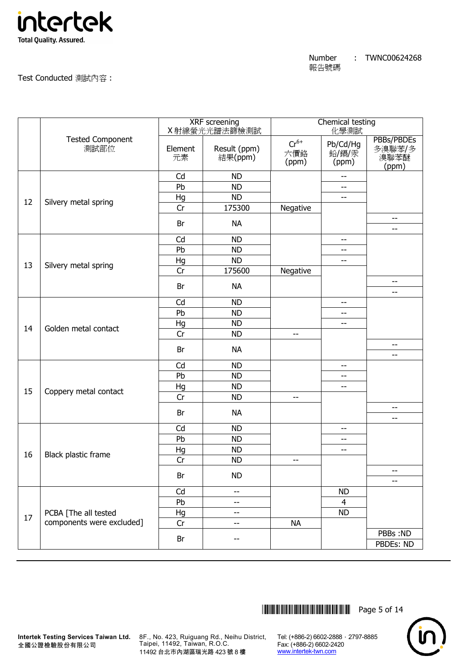

### Test Conducted 測試內容 :

|    |                                 | <b>XRF</b> screening |                          | Chemical testing          |                            |                                       |  |
|----|---------------------------------|----------------------|--------------------------|---------------------------|----------------------------|---------------------------------------|--|
|    |                                 |                      | X射線螢光光譜法篩檢測試             |                           | 化學測試                       |                                       |  |
|    | <b>Tested Component</b><br>測試部位 | Element<br>元素        | Result (ppm)<br>結果(ppm)  | $Cr^{6+}$<br>六價鉻<br>(ppm) | Pb/Cd/Hg<br>鉛/鎘/汞<br>(ppm) | PBBs/PBDEs<br>多溴聯苯/多<br>溴聯苯醚<br>(ppm) |  |
|    |                                 | Cd                   | <b>ND</b>                |                           | $-$                        |                                       |  |
|    |                                 | Pb                   | <b>ND</b>                |                           | $-$                        |                                       |  |
|    |                                 | Hg                   | <b>ND</b>                |                           | $-$                        |                                       |  |
| 12 | Silvery metal spring            | Cr                   | 175300                   | Negative                  |                            |                                       |  |
|    |                                 | Br                   | <b>NA</b>                |                           |                            | $- \, -$<br>--                        |  |
|    |                                 | Cd                   | <b>ND</b>                |                           | $-$                        |                                       |  |
|    |                                 | Pb                   | <b>ND</b>                |                           | $-$                        |                                       |  |
|    |                                 | Hg                   | <b>ND</b>                |                           | $-$                        |                                       |  |
| 13 | Silvery metal spring            | Cr                   | 175600                   | Negative                  |                            |                                       |  |
|    |                                 | Br                   | <b>NA</b>                |                           |                            | --                                    |  |
|    |                                 |                      |                          |                           |                            | --                                    |  |
|    |                                 | Cd                   | <b>ND</b>                |                           | $-$                        |                                       |  |
|    |                                 | Pb                   | <b>ND</b>                |                           | $-$                        |                                       |  |
| 14 | Golden metal contact            | Hg                   | <b>ND</b>                |                           | $-$                        |                                       |  |
|    |                                 | Cr                   | <b>ND</b>                | $-$                       |                            |                                       |  |
|    |                                 | Br                   | <b>NA</b>                |                           |                            | $\qquad \qquad -$<br>--               |  |
|    |                                 | Cd                   | <b>ND</b>                |                           | $- -$                      |                                       |  |
|    |                                 | Pb                   | <b>ND</b>                |                           | $-$                        |                                       |  |
| 15 |                                 | Hg                   | <b>ND</b>                |                           | $-$                        |                                       |  |
|    | Coppery metal contact           | Cr                   | <b>ND</b>                | --                        |                            |                                       |  |
|    |                                 | Br                   | <b>NA</b>                |                           |                            | --<br>$- -$                           |  |
|    |                                 | Cd                   | <b>ND</b>                |                           | $-$                        |                                       |  |
|    |                                 | Pb                   | <b>ND</b>                |                           | $\qquad \qquad -$          |                                       |  |
|    |                                 | Hg                   | <b>ND</b>                |                           | $\overline{\phantom{m}}$   |                                       |  |
| 16 | Black plastic frame             | Cr                   | <b>ND</b>                | --                        |                            |                                       |  |
|    |                                 | Br                   | <b>ND</b>                |                           |                            | --<br>$-$                             |  |
|    |                                 | Cd                   | --                       |                           | <b>ND</b>                  |                                       |  |
|    |                                 | Pb                   | --                       |                           | 4                          |                                       |  |
|    | PCBA [The all tested            | Hg                   | $\overline{\phantom{a}}$ |                           | <b>ND</b>                  |                                       |  |
| 17 | components were excluded]       | Cr                   | $\overline{\phantom{a}}$ | <b>NA</b>                 |                            |                                       |  |
|    |                                 | Br                   | --                       |                           |                            | PBBs:ND<br>PBDEs: ND                  |  |
|    |                                 |                      |                          |                           |                            |                                       |  |

\*THJ0624268\* Page 5 of 14



8F., No. 423, Ruiguang Rd., Neihu District, Taipei, 11492, Taiwan, R.O.C. 11492 台北市內湖區瑞光路 423 號 8 樓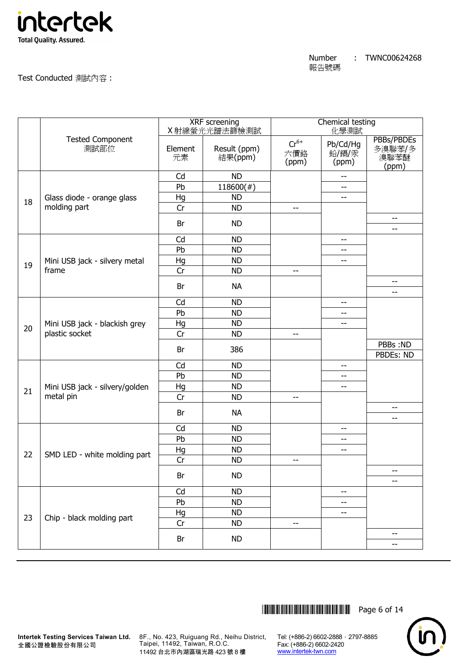

|    |                                                 | <b>XRF</b> screening<br>X射線 <u>螢光光譜法篩檢測試</u> |                         | Chemical testing<br>化學測試  |                            |                                       |
|----|-------------------------------------------------|----------------------------------------------|-------------------------|---------------------------|----------------------------|---------------------------------------|
|    | <b>Tested Component</b><br>測試部位                 | Element<br>元素                                | Result (ppm)<br>結果(ppm) | $Cr^{6+}$<br>六價鉻<br>(ppm) | Pb/Cd/Hg<br>鉛/鎘/汞<br>(ppm) | PBBs/PBDEs<br>多溴聯苯/多<br>溴聯苯醚<br>(ppm) |
|    |                                                 | Cd                                           | <b>ND</b>               |                           | --                         |                                       |
|    |                                                 | Pb                                           | $118600(\#)$            |                           | --                         |                                       |
| 18 | Glass diode - orange glass                      | Hg                                           | <b>ND</b>               |                           | $-$                        |                                       |
|    | molding part                                    | Cr                                           | <b>ND</b>               | $\overline{\phantom{m}}$  |                            |                                       |
|    |                                                 | Br                                           | <b>ND</b>               |                           |                            | $\overline{\phantom{a}}$<br>--        |
|    |                                                 | Cd                                           | <b>ND</b>               |                           | $-$                        |                                       |
|    |                                                 | Pb                                           | <b>ND</b>               |                           | --                         |                                       |
|    | Mini USB jack - silvery metal                   | Hg                                           | <b>ND</b>               |                           | --                         |                                       |
| 19 | frame                                           | Cr                                           | <b>ND</b>               | $-$                       |                            |                                       |
|    |                                                 | Br                                           | <b>NA</b>               |                           |                            | $-$                                   |
|    |                                                 |                                              |                         |                           |                            | $-$                                   |
|    |                                                 | Cd                                           | <b>ND</b>               |                           | $-$                        |                                       |
|    |                                                 | Pb                                           | <b>ND</b>               |                           | --                         |                                       |
| 20 | Mini USB jack - blackish grey<br>plastic socket | Hg                                           | <b>ND</b>               |                           | --                         |                                       |
|    |                                                 | Cr                                           | <b>ND</b>               | $-$                       |                            |                                       |
|    |                                                 | Br                                           | 386                     |                           |                            | PBBs:ND<br>PBDEs: ND                  |
|    |                                                 | Cd                                           | <b>ND</b>               |                           | $-$                        |                                       |
|    |                                                 | Pb                                           | <b>ND</b>               |                           | $-$                        |                                       |
|    | Mini USB jack - silvery/golden                  | Hg                                           | <b>ND</b>               |                           | $-$                        |                                       |
| 21 | metal pin                                       | Cr                                           | <b>ND</b>               | --                        |                            |                                       |
|    |                                                 | Br                                           | <b>NA</b>               |                           |                            | $- -$                                 |
|    |                                                 |                                              |                         |                           |                            | --                                    |
|    |                                                 | Cd                                           | <b>ND</b>               |                           | $-$                        |                                       |
|    |                                                 | Pb                                           | <b>ND</b>               |                           | --                         |                                       |
| 22 | SMD LED - white molding part                    | Hg                                           | <b>ND</b>               |                           | --                         |                                       |
|    |                                                 | Cr                                           | <b>ND</b>               | --                        |                            |                                       |
|    |                                                 | Br                                           | <b>ND</b>               |                           |                            | --<br>$-$                             |
|    |                                                 | Cd                                           | <b>ND</b>               |                           | --                         |                                       |
|    |                                                 | Pb                                           | <b>ND</b>               |                           | --                         |                                       |
|    |                                                 | Hg                                           | <b>ND</b>               |                           | --                         |                                       |
| 23 | Chip - black molding part                       | Cr                                           | <b>ND</b>               | --                        |                            |                                       |
|    |                                                 |                                              | <b>ND</b>               |                           |                            | $-\, -$                               |
|    |                                                 | Br                                           |                         |                           |                            | --                                    |





8F., No. 423, Ruiguang Rd., Neihu District, Taipei, 11492, Taiwan, R.O.C. 11492 台北市內湖區瑞光路 423 號 8 樓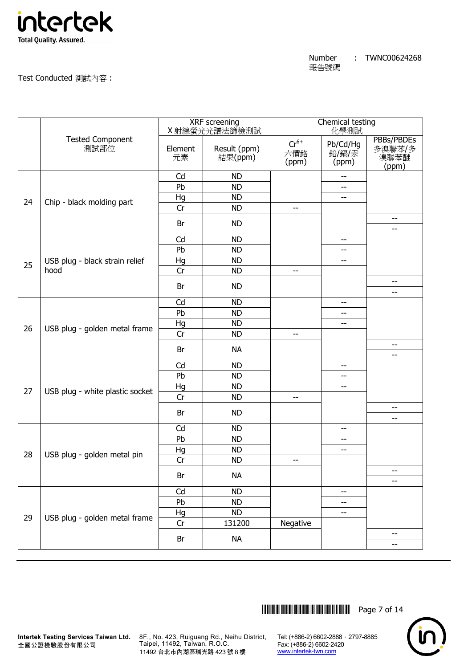

|    |                                 | <b>XRF</b> screening<br>X 射線螢光光譜法篩檢測試 |                         | Chemical testing<br>化學測試  |                            |                                       |
|----|---------------------------------|---------------------------------------|-------------------------|---------------------------|----------------------------|---------------------------------------|
|    | <b>Tested Component</b><br>測試部位 | Element<br>元素                         | Result (ppm)<br>結果(ppm) | $Cr^{6+}$<br>六價鉻<br>(ppm) | Pb/Cd/Hg<br>鉛/鎘/汞<br>(ppm) | PBBs/PBDEs<br>多溴聯苯/多<br>溴聯苯醚<br>(ppm) |
|    |                                 | Cd                                    | <b>ND</b>               |                           |                            |                                       |
|    |                                 | Pb                                    | <b>ND</b>               |                           | --                         |                                       |
| 24 |                                 | Hg                                    | <b>ND</b>               |                           | --                         |                                       |
|    | Chip - black molding part       | Cr                                    | <b>ND</b>               | $\overline{\phantom{a}}$  |                            |                                       |
|    |                                 | Br                                    | <b>ND</b>               |                           |                            | --<br>--                              |
|    |                                 | Cd                                    | <b>ND</b>               |                           | $-$                        |                                       |
|    |                                 | Pb                                    | <b>ND</b>               |                           | $\overline{\phantom{m}}$   |                                       |
|    | USB plug - black strain relief  | Hg                                    | <b>ND</b>               |                           | --                         |                                       |
| 25 | hood                            | Cr                                    | <b>ND</b>               | $\overline{\phantom{m}}$  |                            |                                       |
|    |                                 | Br                                    | <b>ND</b>               |                           |                            | --                                    |
|    |                                 |                                       |                         |                           |                            | --                                    |
|    |                                 | Cd                                    | <b>ND</b>               |                           | $-\,-$                     |                                       |
|    |                                 | Pb                                    | <b>ND</b>               |                           | $-$                        |                                       |
| 26 | USB plug - golden metal frame   | Hg                                    | <b>ND</b>               |                           | $-$                        |                                       |
|    |                                 | Cr                                    | <b>ND</b>               | $-$                       |                            |                                       |
|    |                                 | Br                                    | <b>NA</b>               |                           |                            | --<br>--                              |
|    |                                 | Cd                                    | <b>ND</b>               |                           | $-$                        |                                       |
|    |                                 | Pb                                    | <b>ND</b>               |                           | $\qquad \qquad -$          |                                       |
|    |                                 | Hg                                    | <b>ND</b>               |                           | $-$                        |                                       |
| 27 | USB plug - white plastic socket | Cr                                    | <b>ND</b>               | $\overline{\phantom{m}}$  |                            |                                       |
|    |                                 |                                       |                         |                           |                            | $-$                                   |
|    |                                 | Br                                    | <b>ND</b>               |                           |                            | --                                    |
|    |                                 | Cd                                    | <b>ND</b>               |                           | $- -$                      |                                       |
|    |                                 | Pb                                    | <b>ND</b>               |                           | --                         |                                       |
| 28 | USB plug - golden metal pin     | Hg                                    | <b>ND</b>               |                           | $-\,-$                     |                                       |
|    |                                 | Cr                                    | <b>ND</b>               | $- -$                     |                            |                                       |
|    |                                 | Br                                    | <b>NA</b>               |                           |                            | --                                    |
|    |                                 | Cd                                    | <b>ND</b>               |                           | --                         |                                       |
|    |                                 | Pb                                    | <b>ND</b>               |                           | $-\,-$                     |                                       |
|    |                                 | Hg                                    | <b>ND</b>               |                           | --                         |                                       |
| 29 | USB plug - golden metal frame   | Cr                                    | 131200                  | Negative                  |                            |                                       |
|    |                                 |                                       |                         |                           |                            | --                                    |
|    |                                 | Br                                    | <b>NA</b>               |                           |                            | --                                    |

\*THJ0624268\* Page 7 of 14



8F., No. 423, Ruiguang Rd., Neihu District, Taipei, 11492, Taiwan, R.O.C. 11492 台北市內湖區瑞光路 423 號 8 樓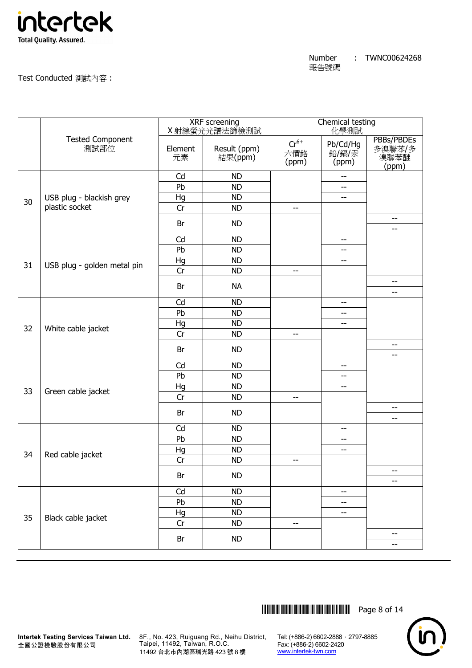

Test Conducted 測試內容 :

|    |                                 | <b>XRF</b> screening<br>X射線螢光光譜法篩檢測試 |                         | Chemical testing<br>化學測試  |                            |                                       |
|----|---------------------------------|--------------------------------------|-------------------------|---------------------------|----------------------------|---------------------------------------|
|    | <b>Tested Component</b><br>測試部位 | Element<br>元素                        | Result (ppm)<br>結果(ppm) | $Cr^{6+}$<br>六價鉻<br>(ppm) | Pb/Cd/Hg<br>鉛/鎘/汞<br>(ppm) | PBBs/PBDEs<br>多溴聯苯/多<br>溴聯苯醚<br>(ppm) |
|    |                                 | Cd                                   | <b>ND</b>               |                           | $-$                        |                                       |
|    |                                 | Pb                                   | <b>ND</b>               |                           | $-$                        |                                       |
| 30 | USB plug - blackish grey        | Hg                                   | <b>ND</b>               |                           | --                         |                                       |
|    | plastic socket                  | Cr                                   | <b>ND</b>               | $\overline{\phantom{m}}$  |                            |                                       |
|    |                                 | Br                                   | <b>ND</b>               |                           |                            | --<br>--                              |
|    |                                 | Cd                                   | <b>ND</b>               |                           | $-$                        |                                       |
|    |                                 | Pb                                   | <b>ND</b>               |                           | --                         |                                       |
|    |                                 | Hg                                   | <b>ND</b>               |                           | $-$                        |                                       |
| 31 | USB plug - golden metal pin     | Cr                                   | <b>ND</b>               | --                        |                            |                                       |
|    |                                 | Br                                   | <b>NA</b>               |                           |                            | --                                    |
|    |                                 | Cd                                   | <b>ND</b>               |                           | $-$                        | $-$                                   |
|    |                                 | Pb                                   | <b>ND</b>               |                           | $\overline{\phantom{m}}$   |                                       |
|    |                                 | Hg                                   | <b>ND</b>               |                           | $-$                        |                                       |
| 32 | White cable jacket              | Cr                                   | <b>ND</b>               | --                        |                            |                                       |
|    |                                 |                                      |                         |                           |                            | --                                    |
|    |                                 | Br                                   | <b>ND</b>               |                           |                            | --                                    |
|    |                                 | Cd                                   | <b>ND</b>               |                           | $-$                        |                                       |
|    |                                 | Pb                                   | <b>ND</b>               |                           | --                         |                                       |
|    |                                 | Hg                                   | <b>ND</b>               |                           | --                         |                                       |
| 33 | Green cable jacket              | Cr                                   | <b>ND</b>               | --                        |                            |                                       |
|    |                                 | Br                                   | <b>ND</b>               |                           |                            | $- -$                                 |
|    |                                 | Cd                                   | <b>ND</b>               |                           | $\overline{\phantom{m}}$   | --                                    |
|    |                                 | Pb                                   | <b>ND</b>               |                           | $-$                        |                                       |
|    |                                 | Hg                                   | <b>ND</b>               |                           | $-$                        |                                       |
| 34 | Red cable jacket                | Cr                                   | <b>ND</b>               | --                        |                            |                                       |
|    |                                 |                                      |                         |                           |                            | --                                    |
|    |                                 | Br                                   | <b>ND</b>               |                           |                            | --                                    |
|    |                                 | Cd                                   | <b>ND</b>               |                           | $\overline{\phantom{a}}$   |                                       |
|    |                                 | Pb                                   | <b>ND</b>               |                           | --                         |                                       |
| 35 | Black cable jacket              | Hg                                   | <b>ND</b>               |                           | $-$                        |                                       |
|    |                                 | Cr                                   | <b>ND</b>               | --                        |                            |                                       |
|    |                                 | $\mathsf{Br}$                        | <b>ND</b>               |                           |                            | --<br>--                              |



8F., No. 423, Ruiguang Rd., Neihu District, Taipei, 11492, Taiwan, R.O.C. 11492 台北市內湖區瑞光路 423 號 8 樓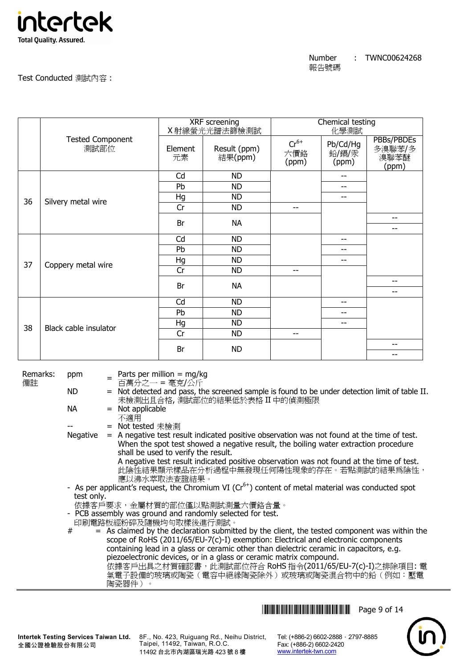

| Number | TWNC00624268 |
|--------|--------------|
| 報告號碼   |              |

|    |                                 | XRF screening<br>X射線螢光光譜法篩檢測試 |                         | Chemical testing<br>化學測試  |                            |                                       |
|----|---------------------------------|-------------------------------|-------------------------|---------------------------|----------------------------|---------------------------------------|
|    | <b>Tested Component</b><br>測試部位 | Element<br>元素                 | Result (ppm)<br>結果(ppm) | $Cr^{6+}$<br>六價鉻<br>(ppm) | Pb/Cd/Hg<br>鉛/鎘/汞<br>(ppm) | PBBs/PBDEs<br>多溴聯苯/多<br>溴聯苯醚<br>(ppm) |
|    |                                 | Cd                            | <b>ND</b>               |                           | --                         |                                       |
|    |                                 | Pb                            | <b>ND</b>               |                           | --                         |                                       |
| 36 | Silvery metal wire              | Hg                            | <b>ND</b>               |                           | --                         |                                       |
|    |                                 | Cr                            | <b>ND</b>               | $-$                       |                            |                                       |
|    |                                 | Br                            | <b>NA</b>               |                           |                            | $-$<br>--                             |
|    |                                 | Cd                            | <b>ND</b>               |                           | $- -$                      |                                       |
|    |                                 | Pb                            | <b>ND</b>               |                           | --                         |                                       |
| 37 | Coppery metal wire              | Hg                            | <b>ND</b>               |                           | --                         |                                       |
|    |                                 | Cr                            | <b>ND</b>               | $- -$                     |                            |                                       |
|    |                                 | Br                            | <b>NA</b>               |                           |                            | --                                    |
|    |                                 |                               |                         |                           |                            | $\overline{\phantom{a}}$              |
|    |                                 | Cd                            | <b>ND</b>               |                           | $- -$                      |                                       |
|    |                                 | Pb                            | <b>ND</b>               |                           | --                         |                                       |
| 38 | Black cable insulator           | Hg                            | <b>ND</b>               |                           | $-$                        |                                       |
|    |                                 | Cr                            | <b>ND</b>               | $-$                       |                            |                                       |
|    |                                 | Br                            | <b>ND</b>               |                           |                            | --                                    |
|    |                                 |                               |                         |                           |                            | --                                    |

Remarks: 備註

ppm = Parts per million = mg/kg

百萬分之一 = 毫克/公斤

ND = Not detected and pass, the screened sample is found to be under detection limit of table II. 未檢測出且合格, 測試部位的結果低於表格 II 中的偵測極限

 $NA$  = Not applicable

不適用

= Not tested 未檢測

Negative  $=$  A negative test result indicated positive observation was not found at the time of test. When the spot test showed a negative result, the boiling water extraction procedure shall be used to verify the result. A negative test result indicated positive observation was not found at the time of test.

此陰性結果顯示樣品在分析過程中無發現任何陽性現象的存在。若點測試的結果為陰性, 應以沸水萃取法查證結果。

- As per applicant's request, the Chromium VI ( $Cr<sup>6+</sup>$ ) content of metal material was conducted spot test only.
- 依據客戶要求,金屬材質的部位僅以點測試測量六價鉻含量。
- PCB assembly was ground and randomly selected for test.
- 印刷電路板經粉碎及隨機均勻取樣後進行測試。

 $#$  = As claimed by the declaration submitted by the client, the tested component was within the scope of RoHS (2011/65/EU-7(c)-I) exemption: Electrical and electronic components containing lead in a glass or ceramic other than dielectric ceramic in capacitors, e.g. piezoelectronic devices, or in a glass or ceramic matrix compound.

.<br>依據客戶出具之材質確認書,此測試部位符合 RoHS 指令(2011/65/EU-7(c)-I)之排除項目: 電 氣電子設備的玻璃或陶瓷(電容中絕緣陶瓷除外)或玻璃或陶瓷混合物中的鉛(例如:壓電 陶瓷器件)。



**Intertek Testing Services Taiwan Ltd.** 全國公證檢驗股份有限公司

8F., No. 423, Ruiguang Rd., Neihu District, Taipei, 11492, Taiwan, R.O.C. 11492 台北市內湖區瑞光路 423 號 8 樓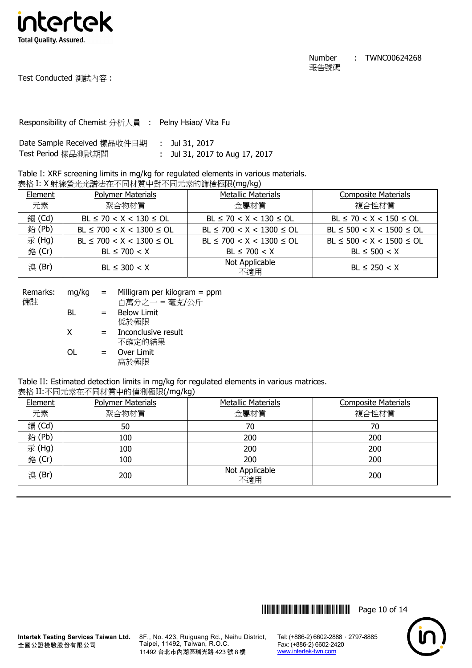

Test Conducted 測試內容 :

Responsibility of Chemist 分析人員 : Pelny Hsiao/ Vita Fu

| Date Sample Received 樣品收件日期 | : Jul 31, 2017               |
|-----------------------------|------------------------------|
| Test Period 樣品測試期間          | Jul 31, 2017 to Aug 17, 2017 |

Table I: XRF screening limits in mg/kg for regulated elements in various materials. 表格 I: X 射線螢光光譜法在不同材質中對不同元素的篩檢極限(mg/kg)

| Element | <b>Polymer Materials</b>       | <b>Metallic Materials</b>      | <b>Composite Materials</b>     |
|---------|--------------------------------|--------------------------------|--------------------------------|
| 元素      | 聚合物材質                          | 金屬材質                           | 複合性材質                          |
| 鎘 (Cd)  | $BL \le 70 < X < 130 \le OL$   | $BL \le 70 < X < 130 \le OL$   | $BL \le 70 < X < 150 \le OL$   |
| 鉛(Pb)   | $BL \le 700 < X < 1300 \le OL$ | $BL \le 700 < X < 1300 \le OL$ | $BL \le 500 < X < 1500 \le OL$ |
| 汞 (Hg)  | $BL \le 700 < X < 1300 \le OL$ | $BL \le 700 < X < 1300 \le OL$ | $BL \le 500 < X < 1500 \le OL$ |
| 銘 (Cr)  | $BL \le 700 < X$               | $BL \le 700 < X$               | $BL \le 500 < X$               |
| 溴(Br)   | $BL \leq 300 < X$              | Not Applicable<br>不適用          | $BL \le 250 < X$               |

| Remarks:<br>備註 | $mq/kg =$ |     | Milligram per kilogram $=$ ppm<br>百萬分之一 = 毫克/公斤 |
|----------------|-----------|-----|-------------------------------------------------|
|                | BL        | $=$ | <b>Below Limit</b><br>低於極限                      |
|                | X         | $=$ | Inconclusive result<br>不確定的結果                   |
|                | ΩL        | $=$ | Over Limit<br>高於極限                              |

Table II: Estimated detection limits in mg/kg for regulated elements in various matrices.

表格 II:不同元素在不同材質中的偵測極限(/mg/kg)

| Element | <b>Polymer Materials</b> | <b>Metallic Materials</b> | <b>Composite Materials</b> |
|---------|--------------------------|---------------------------|----------------------------|
| 元素      | 聚合物材質                    | 金屬材質                      | 複合性材質                      |
| 鎘 (Cd)  | 50                       | 70                        | 70                         |
| 鉛(Pb)   | 100                      | 200                       | 200                        |
| 汞(Hg)   | 100                      | 200                       | 200                        |
| 銘 (Cr)  | 100                      | 200                       | 200                        |
| 溴(Br)   | 200                      | Not Applicable<br>不適用     | 200                        |



**Intertek Testing Services Taiwan Ltd.** 全國公證檢驗股份有限公司

8F., No. 423, Ruiguang Rd., Neihu District, Taipei, 11492, Taiwan, R.O.C. 11492 台北市內湖區瑞光路 423 號 8 樓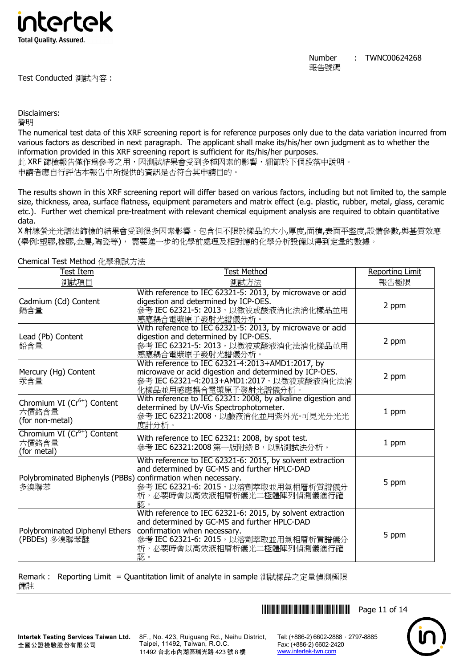

Number 報告號碼 : TWNC00624268

Disclaimers:

聲明

The numerical test data of this XRF screening report is for reference purposes only due to the data variation incurred from various factors as described in next paragraph. The applicant shall make its/his/her own judgment as to whether the information provided in this XRF screening report is sufficient for its/his/her purposes.

此 XRF 篩檢報告僅作為參考之用,因測試結果會受到多種因素的影響,細節於下個段落中說明。 申請者應自行評估本報告中所提供的資訊是否符合其申請目的。

The results shown in this XRF screening report will differ based on various factors, including but not limited to, the sample size, thickness, area, surface flatness, equipment parameters and matrix effect (e.g. plastic, rubber, metal, glass, ceramic etc.). Further wet chemical pre-treatment with relevant chemical equipment analysis are required to obtain quantitative data.

X 射線螢光光譜法篩檢的結果會受到很多因素影響,包含但不限於樣品的大小,厚度,面積,表面平整度,設備參數,與基質效應 (舉例:塑膠,橡膠,金屬,陶瓷等), 需要進一步的化學前處理及相對應的化學分析設備以得到定量的數據。

| Test Item                                                            | <b>Test Method</b>                                                                                                                                                                                                      | <b>Reporting Limit</b> |
|----------------------------------------------------------------------|-------------------------------------------------------------------------------------------------------------------------------------------------------------------------------------------------------------------------|------------------------|
| 測試項目                                                                 | 測試方法                                                                                                                                                                                                                    | 報告極限                   |
| Cadmium (Cd) Content<br>鎘含量                                          | With reference to IEC 62321-5: 2013, by microwave or acid<br>digestion and determined by ICP-OES.<br>參考 IEC 62321-5: 2013, 以微波或酸液消化法消化樣品並用<br>感應耦合電漿原子發射光譜儀分析。                                                          | 2 ppm                  |
| Lead (Pb) Content<br> 鉛含量                                            | With reference to IEC 62321-5: 2013, by microwave or acid<br>digestion and determined by ICP-OES.<br>參考 IEC 62321-5: 2013, 以微波或酸液消化法消化樣品並用<br>感應耦合電漿原子發射光譜儀分析。                                                          | 2 ppm                  |
| Mercury (Hg) Content<br>汞含量                                          | With reference to IEC 62321-4:2013+AMD1:2017, by<br>microwave or acid digestion and determined by ICP-OES.<br>參考 IEC 62321-4:2013+AMD1:2017, 以微波或酸液消化法消<br>化樣品並用感應耦合電漿原子發射光譜儀分析。                                        | 2 ppm                  |
| Chromium VI (Cr <sup>6+</sup> ) Content<br>六價鉻含量<br>(for non-metal)  | With reference to IEC 62321: 2008, by alkaline digestion and<br>determined by UV-Vis Spectrophotometer.<br>參考 IEC 62321:2008, 以鹼液消化並用紫外光-可見光分光光<br>度計分析。                                                                | 1 ppm                  |
| Chromium VI (Cr <sup>6+</sup> ) Content<br>六價鉻含量<br>(for metal)      | With reference to IEC 62321: 2008, by spot test.<br>參考 IEC 62321:2008 第一版附錄 B, 以點測試法分析。                                                                                                                                 | 1 ppm                  |
| Polybrominated Biphenyls (PBBs) confirmation when necessary.<br>多溴聯苯 | With reference to IEC 62321-6: 2015, by solvent extraction<br>and determined by GC-MS and further HPLC-DAD<br>參考 IEC 62321-6: 2015, 以溶劑萃取並用氣相層析質譜儀分<br>析,必要時會以高效液相層析儀光二極體陣列偵測儀進行確<br>認。                                 | 5 ppm                  |
| Polybrominated Diphenyl Ethers<br>(PBDEs) 多溴聯苯醚                      | With reference to IEC 62321-6: 2015, by solvent extraction<br>and determined by GC-MS and further HPLC-DAD<br>confirmation when necessary.<br>參考 IEC 62321-6: 2015, 以溶劑萃取並用氣相層析質譜儀分<br>析,必要時會以高效液相層析儀光二極體陣列偵測儀進行確<br>認。 | 5 ppm                  |

Chemical Test Method 化學測試方法

Remark : Reporting Limit = Quantitation limit of analyte in sample 測試樣品之定量偵測極限 備註

**THEFT READERS THE READERS THE READER IN 1999** 

8F., No. 423, Ruiguang Rd., Neihu District, Taipei, 11492, Taiwan, R.O.C. 11492 台北市內湖區瑞光路 423 號 8 樓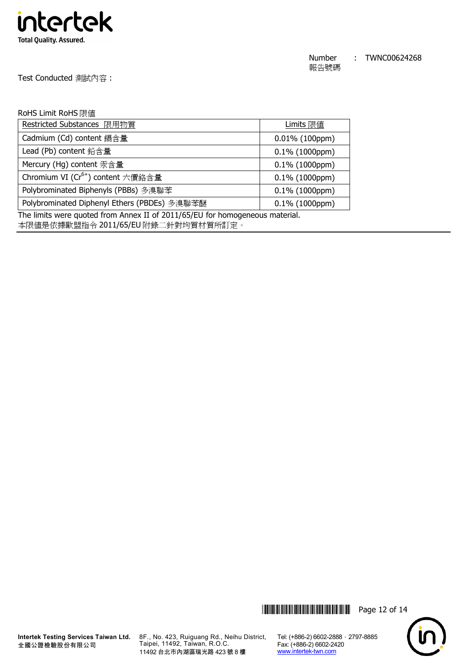

Test Conducted 測試內容 :

### RoHS Limit RoHS 限值

| Restricted Substances 限用物質                    | Limits 限值         |
|-----------------------------------------------|-------------------|
| Cadmium (Cd) content 鎘含量                      | $0.01\%$ (100ppm) |
| Lead (Pb) content 鉛含量                         | $0.1\%$ (1000ppm) |
| Mercury (Hg) content 汞含量                      | $0.1\%$ (1000ppm) |
| Chromium VI (Cr <sup>6+</sup> ) content 六價鉻含量 | $0.1\%$ (1000ppm) |
| Polybrominated Biphenyls (PBBs) 多溴聯苯          | $0.1\%$ (1000ppm) |
| Polybrominated Diphenyl Ethers (PBDEs) 多溴聯苯醚  | $0.1\%$ (1000ppm) |

The limits were quoted from Annex II of 2011/65/EU for homogeneous material.

本限值是依據歐盟指令 2011/65/EU 附錄二針對均質材質所訂定。





8F., No. 423, Ruiguang Rd., Neihu District, Taipei, 11492, Taiwan, R.O.C. 11492 台北市內湖區瑞光路 423 號 8 樓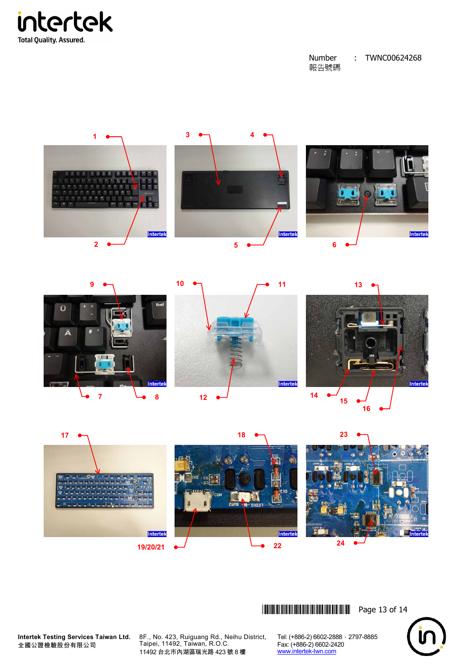







\*THJ0624268\* Page 13 of 14

**Intertek Testing Services Taiwan Ltd.** 全國公證檢驗股份有限公司

8F., No. 423, Ruiguang Rd., Neihu District, Taipei, 11492, Taiwan, R.O.C. 11492 台北市內湖區瑞光路 423 號 8 樓